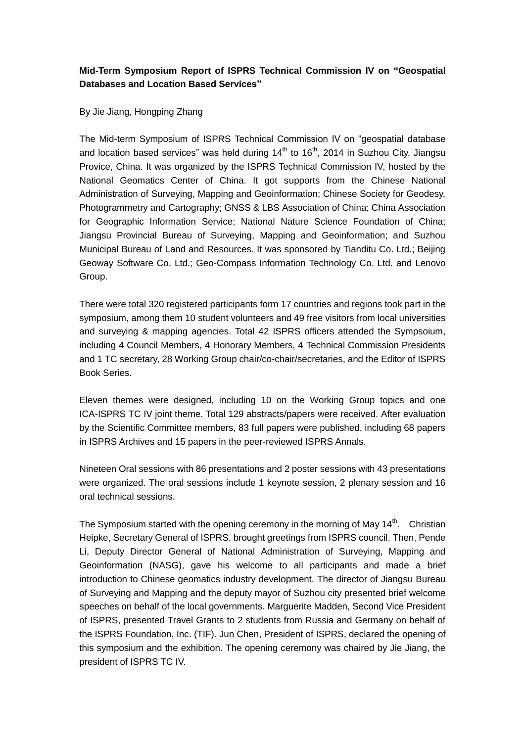## **Mid-Term Symposium Report of ISPRS Technical Commission IV on "Geospatial Databases and Location Based Services"**

By Jie Jiang, Hongping Zhang

The Mid-term Symposium of ISPRS Technical Commission IV on "geospatial database and location based services" was held during  $14<sup>th</sup>$  to  $16<sup>th</sup>$ , 2014 in Suzhou City, Jiangsu Provice, China. It was organized by the ISPRS Technical Commission IV, hosted by the National Geomatics Center of China. It got supports from the Chinese National Administration of Surveying, Mapping and Geoinformation; Chinese Society for Geodesy, Photogrammetry and Cartography; GNSS & LBS Association of China; China Association for Geographic Information Service; National Nature Science Foundation of China; Jiangsu Provincial Bureau of Surveying, Mapping and Geoinformation; and Suzhou Municipal Bureau of Land and Resources. It was sponsored by Tianditu Co. Ltd.; Beijing Geoway Software Co. Ltd.; Geo-Compass Information Technology Co. Ltd. and Lenovo Group.

There were total 320 registered participants form 17 countries and regions took part in the symposium, among them 10 student volunteers and 49 free visitors from local universities and surveying & mapping agencies. Total 42 ISPRS officers attended the Sympsoium, including 4 Council Members, 4 Honorary Members, 4 Technical Commission Presidents and 1 TC secretary, 28 Working Group chair/co-chair/secretaries, and the Editor of ISPRS Book Series.

Eleven themes were designed, including 10 on the Working Group topics and one ICA-ISPRS TC IV joint theme. Total 129 abstracts/papers were received. After evaluation by the Scientific Committee members, 83 full papers were published, including 68 papers in ISPRS Archives and 15 papers in the peer-reviewed ISPRS Annals.

Nineteen Oral sessions with 86 presentations and 2 poster sessions with 43 presentations were organized. The oral sessions include 1 keynote session, 2 plenary session and 16 oral technical sessions.

The Symposium started with the opening ceremony in the morning of May 14<sup>th</sup>. Christian Heipke, Secretary General of ISPRS, brought greetings from ISPRS council. Then, Pende Li, Deputy Director General of National Administration of Surveying, Mapping and Geoinformation (NASG), gave his welcome to all participants and made a brief introduction to Chinese geomatics industry development. The director of Jiangsu Bureau of Surveying and Mapping and the deputy mayor of Suzhou city presented brief welcome speeches on behalf of the local governments. Marguerite Madden, Second Vice President of ISPRS, presented Travel Grants to 2 students from Russia and Germany on behalf of the ISPRS Foundation, Inc. (TIF). Jun Chen, President of ISPRS, declared the opening of this symposium and the exhibition. The opening ceremony was chaired by Jie Jiang, the president of ISPRS TC IV.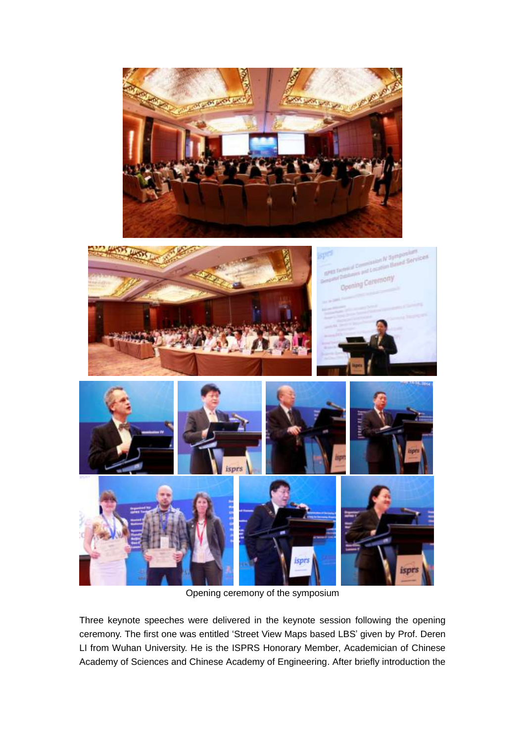



Opening ceremony of the symposium

Three keynote speeches were delivered in the keynote session following the opening ceremony. The first one was entitled 'Street View Maps based LBS' given by Prof. Deren LI from Wuhan University. He is the ISPRS Honorary Member, Academician of Chinese Academy of Sciences and Chinese Academy of Engineering. After briefly introduction the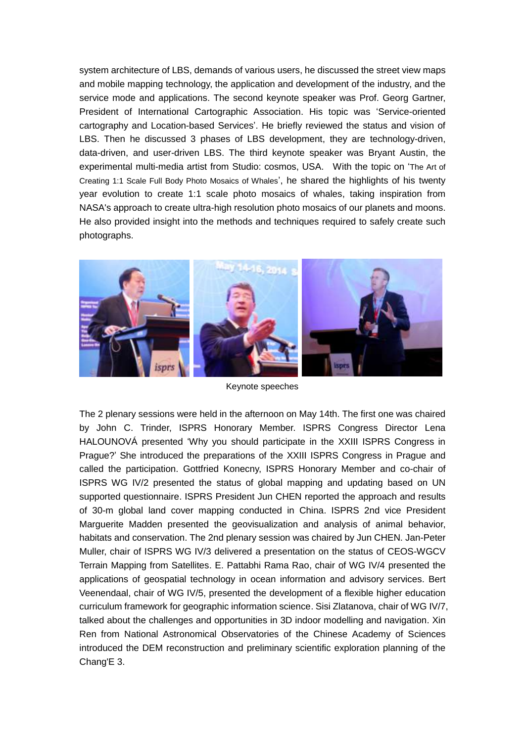system architecture of LBS, demands of various users, he discussed the street view maps and mobile mapping technology, the application and development of the industry, and the service mode and applications. The second keynote speaker was Prof. Georg Gartner, President of International Cartographic Association. His topic was 'Service-oriented cartography and Location-based Services'. He briefly reviewed the status and vision of LBS. Then he discussed 3 phases of LBS development, they are technology-driven, data-driven, and user-driven LBS. The third keynote speaker was Bryant Austin, the experimental multi-media artist from Studio: cosmos, USA. With the topic on 'The Art of Creating 1:1 Scale Full Body Photo Mosaics of Whales', he shared the highlights of his twenty year evolution to create 1:1 scale photo mosaics of whales, taking inspiration from NASA's approach to create ultra-high resolution photo mosaics of our planets and moons. He also provided insight into the methods and techniques required to safely create such photographs.



Keynote speeches

The 2 plenary sessions were held in the afternoon on May 14th. The first one was chaired by John C. Trinder, ISPRS Honorary Member. ISPRS Congress Director Lena HALOUNOVÁ presented 'Why you should participate in the XXIII ISPRS Congress in Prague?' She introduced the preparations of the XXIII ISPRS Congress in Prague and called the participation. Gottfried Konecny, ISPRS Honorary Member and co-chair of ISPRS WG IV/2 presented the status of global mapping and updating based on UN supported questionnaire. ISPRS President Jun CHEN reported the approach and results of 30-m global land cover mapping conducted in China. ISPRS 2nd vice President Marguerite Madden presented the geovisualization and analysis of animal behavior, habitats and conservation. The 2nd plenary session was chaired by Jun CHEN. Jan-Peter Muller, chair of ISPRS WG IV/3 delivered a presentation on the status of CEOS-WGCV Terrain Mapping from Satellites. E. Pattabhi Rama Rao, chair of WG IV/4 presented the applications of geospatial technology in ocean information and advisory services. Bert Veenendaal, chair of WG IV/5, presented the development of a flexible higher education curriculum framework for geographic information science. Sisi Zlatanova, chair of WG IV/7, talked about the challenges and opportunities in 3D indoor modelling and navigation. Xin Ren from National Astronomical Observatories of the Chinese Academy of Sciences introduced the DEM reconstruction and preliminary scientific exploration planning of the Chang'E 3.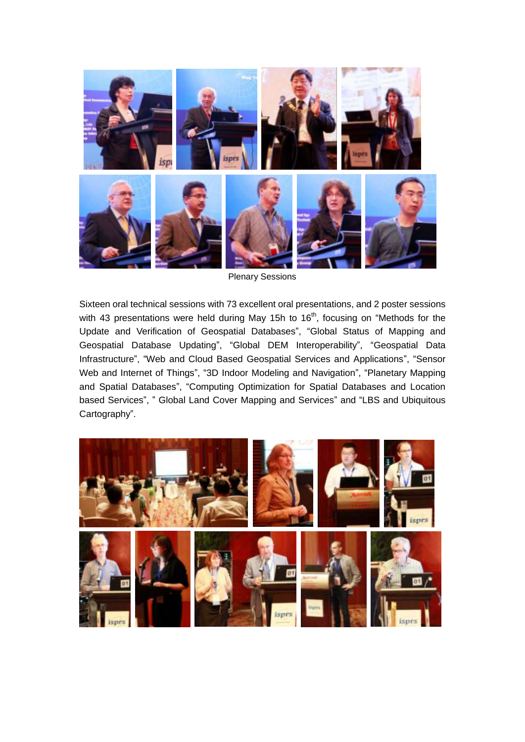

Plenary Sessions

Sixteen oral technical sessions with 73 excellent oral presentations, and 2 poster sessions with 43 presentations were held during May 15h to  $16<sup>th</sup>$ , focusing on "Methods for the Update and Verification of Geospatial Databases", "Global Status of Mapping and Geospatial Database Updating", "Global DEM Interoperability", "Geospatial Data Infrastructure", "Web and Cloud Based Geospatial Services and Applications", "Sensor Web and Internet of Things", "3D Indoor Modeling and Navigation", "Planetary Mapping and Spatial Databases", "Computing Optimization for Spatial Databases and Location based Services", " Global Land Cover Mapping and Services" and "LBS and Ubiquitous Cartography".

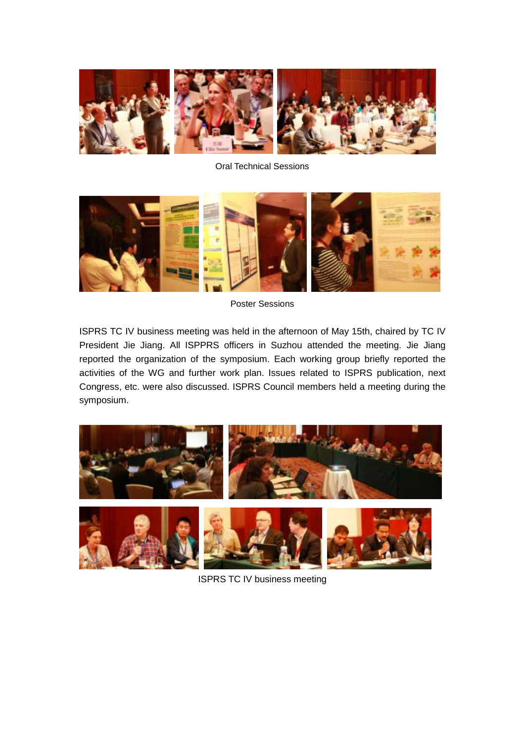

Oral Technical Sessions



Poster Sessions

ISPRS TC IV business meeting was held in the afternoon of May 15th, chaired by TC IV President Jie Jiang. All ISPPRS officers in Suzhou attended the meeting. Jie Jiang reported the organization of the symposium. Each working group briefly reported the activities of the WG and further work plan. Issues related to ISPRS publication, next Congress, etc. were also discussed. ISPRS Council members held a meeting during the symposium.



ISPRS TC IV business meeting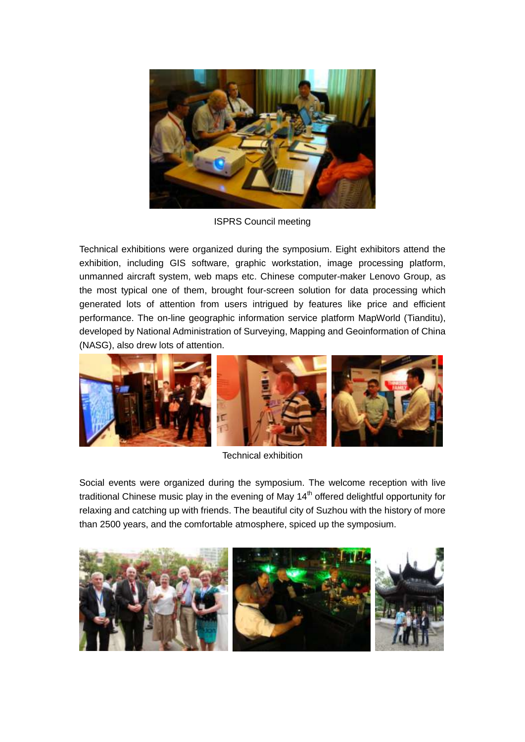

ISPRS Council meeting

Technical exhibitions were organized during the symposium. Eight exhibitors attend the exhibition, including GIS software, graphic workstation, image processing platform, unmanned aircraft system, web maps etc. Chinese computer-maker Lenovo Group, as the most typical one of them, brought four-screen solution for data processing which generated lots of attention from users intrigued by features like price and efficient performance. The on-line geographic information service platform MapWorld (Tianditu), developed by National Administration of Surveying, Mapping and Geoinformation of China (NASG), also drew lots of attention.



Technical exhibition

Social events were organized during the symposium. The welcome reception with live traditional Chinese music play in the evening of May  $14<sup>th</sup>$  offered delightful opportunity for relaxing and catching up with friends. The beautiful city of Suzhou with the history of more than 2500 years, and the comfortable atmosphere, spiced up the symposium.

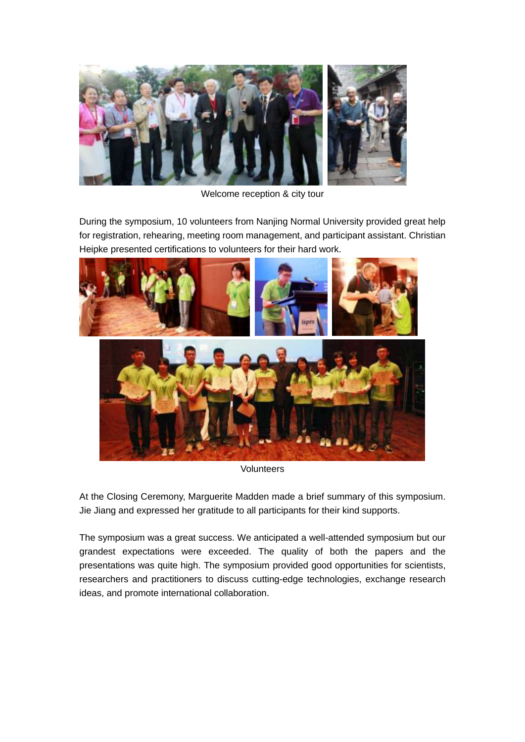

Welcome reception & city tour

During the symposium, 10 volunteers from Nanjing Normal University provided great help for registration, rehearing, meeting room management, and participant assistant. Christian Heipke presented certifications to volunteers for their hard work.



Volunteers

At the Closing Ceremony, Marguerite Madden made a brief summary of this symposium. Jie Jiang and expressed her gratitude to all participants for their kind supports.

The symposium was a great success. We anticipated a well-attended symposium but our grandest expectations were exceeded. The quality of both the papers and the presentations was quite high. The symposium provided good opportunities for scientists, researchers and practitioners to discuss cutting-edge technologies, exchange research ideas, and promote international collaboration.